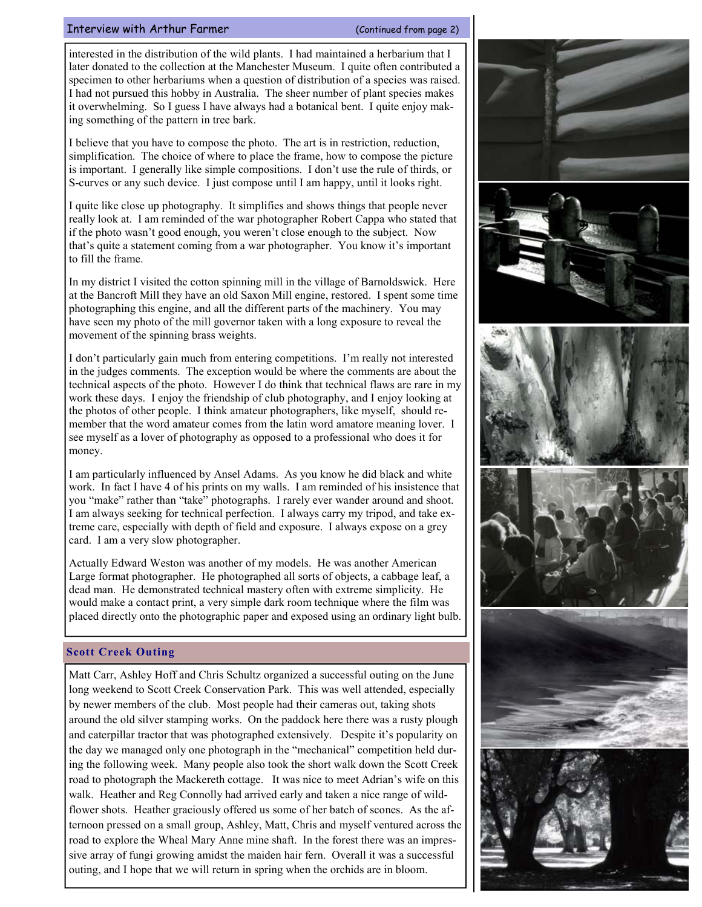## Interview with Arthur Farmer (Continued from page 2)

interested in the distribution of the wild plants. I had maintained a herbarium that I later donated to the collection at the Manchester Museum. I quite often contributed a specimen to other herbariums when a question of distribution of a species was raised. I had not pursued this hobby in Australia. The sheer number of plant species makes it overwhelming. So I guess I have always had a botanical bent. I quite enjoy making something of the pattern in tree bark.

I believe that you have to compose the photo. The art is in restriction, reduction, simplification. The choice of where to place the frame, how to compose the picture is important. I generally like simple compositions. I don't use the rule of thirds, or S-curves or any such device. I just compose until I am happy, until it looks right.

I quite like close up photography. It simplifies and shows things that people never really look at. I am reminded of the war photographer Robert Cappa who stated that if the photo wasn't good enough, you weren't close enough to the subject. Now that's quite a statement coming from a war photographer. You know it's important to fill the frame.

In my district I visited the cotton spinning mill in the village of Barnoldswick. Here at the Bancroft Mill they have an old Saxon Mill engine, restored. I spent some time photographing this engine, and all the different parts of the machinery. You may have seen my photo of the mill governor taken with a long exposure to reveal the movement of the spinning brass weights.

I don't particularly gain much from entering competitions. I'm really not interested in the judges comments. The exception would be where the comments are about the technical aspects of the photo. However I do think that technical flaws are rare in my work these days. I enjoy the friendship of club photography, and I enjoy looking at the photos of other people. I think amateur photographers, like myself, should remember that the word amateur comes from the latin word amatore meaning lover. I see myself as a lover of photography as opposed to a professional who does it for money.

I am particularly influenced by Ansel Adams. As you know he did black and white work. In fact I have 4 of his prints on my walls. I am reminded of his insistence that you "make" rather than "take" photographs. I rarely ever wander around and shoot. I am always seeking for technical perfection. I always carry my tripod, and take extreme care, especially with depth of field and exposure. I always expose on a grey card. I am a very slow photographer.

Actually Edward Weston was another of my models. He was another American Large format photographer. He photographed all sorts of objects, a cabbage leaf, a dead man. He demonstrated technical mastery often with extreme simplicity. He would make a contact print, a very simple dark room technique where the film was placed directly onto the photographic paper and exposed using an ordinary light bulb.

## Scott Creek Outing

Matt Carr, Ashley Hoff and Chris Schultz organized a successful outing on the June long weekend to Scott Creek Conservation Park. This was well attended, especially by newer members of the club. Most people had their cameras out, taking shots around the old silver stamping works. On the paddock here there was a rusty plough and caterpillar tractor that was photographed extensively. Despite it's popularity on the day we managed only one photograph in the "mechanical" competition held during the following week. Many people also took the short walk down the Scott Creek road to photograph the Mackereth cottage. It was nice to meet Adrian's wife on this walk. Heather and Reg Connolly had arrived early and taken a nice range of wildflower shots. Heather graciously offered us some of her batch of scones. As the afternoon pressed on a small group, Ashley, Matt, Chris and myself ventured across the road to explore the Wheal Mary Anne mine shaft. In the forest there was an impressive array of fungi growing amidst the maiden hair fern. Overall it was a successful outing, and I hope that we will return in spring when the orchids are in bloom.

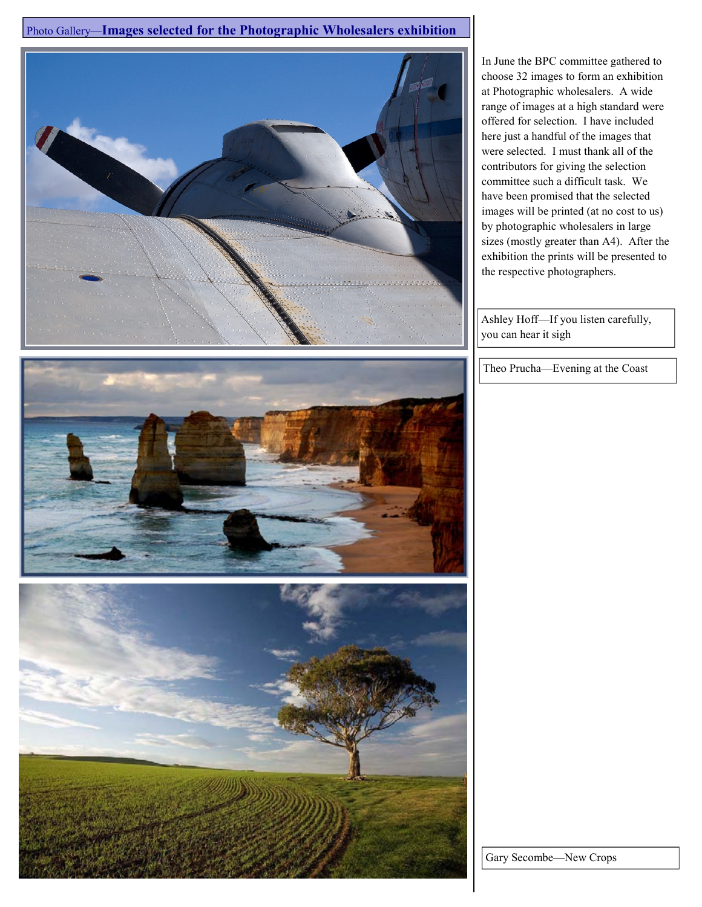Photo Gallery—Images selected for the Photographic Wholesalers exhibition



In June the BPC committee gathered to choose 32 images to form an exhibition at Photographic wholesalers. A wide range of images at a high standard were offered for selection. I have included here just a handful of the images that were selected. I must thank all of the contributors for giving the selection committee such a difficult task. We have been promised that the selected images will be printed (at no cost to us) by photographic wholesalers in large sizes (mostly greater than A4). After the exhibition the prints will be presented to the respective photographers.

Ashley Hoff—If you listen carefully, you can hear it sigh

Theo Prucha—Evening at the Coast



Gary Secombe—New Crops